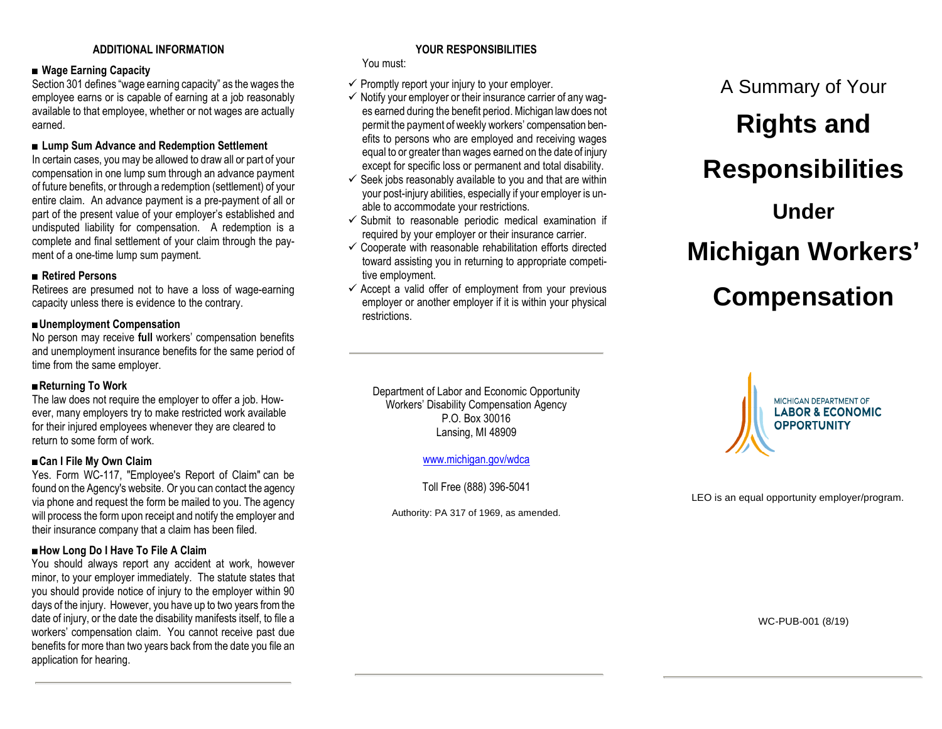# **ADDITIONAL INFORMATION**

### ■ Wage Earning Capacity

Section 301 defines "wage earning capacity" as the wages the employee earns or is capable of earning at a job reasonably available to that employee, whether or not wages are actually earned.

### ■ Lump Sum Advance and Redemption Settlement

In certain cases, you may be allowed to draw all or part of your compensation in one lump sum through an advance payment of future benefits, or through a redemption (settlement) of your entire claim. An advance payment is a pre-payment of all or part of the present value of your employer's established and undisputed liability for compensation. A redemption is a complete and final settlement of your claim through the payment of a one-time lump sum payment.

### ■ **Retired Persons**

Retirees are presumed not to have a loss of wage-earning capacity unless there is evidence to the contrary.

#### ■**Unemployment Compensation**

No person may receive **full** workers' compensation benefits and unemployment insurance benefits for the same period of time from the same employer.

### ■**Returning To Work**

The law does not require the employer to offer a job. However, many employers try to make restricted work available for their injured employees whenever they are cleared to return to some form of work.

### *■***Can I File My Own Claim**

Yes. Form WC-117, "Employee's Report of Claim" can be found on the Agency's website. Or you can contact the agency via phone and request the form be mailed to you. The agency will process the form upon receipt and notify the employer and their insurance company that a claim has been filed.

# *■***How Long Do I Have To File A Claim**

You should always report any accident at work, however minor, to your employer immediately. The statute states that you should provide notice of injury to the employer within 90 days of the injury. However, you have up to two years from the date of injury, or the date the disability manifests itself, to file a workers' compensation claim. You cannot receive past due benefits for more than two years back from the date you file an application for hearing.

# **YOUR RESPONSIBILITIES**

You must:

- $\checkmark$  Promptly report your injury to your employer.
- $\checkmark$  Notify your employer or their insurance carrier of any wages earned during the benefit period. Michigan law does not permit the payment of weekly workers' compensation benefits to persons who are employed and receiving wages equal to or greater than wages earned on the date of injury except for specific loss or permanent and total disability.
- $\checkmark$  Seek jobs reasonably available to you and that are within your post-injury abilities, especially if your employer is unable to accommodate your restrictions.
- $\checkmark$  Submit to reasonable periodic medical examination if required by your employer or their insurance carrier.
- $\checkmark$  Cooperate with reasonable rehabilitation efforts directed toward assisting you in returning to appropriate competitive employment.
- $\checkmark$  Accept a valid offer of employment from your previous employer or another employer if it is within your physical restrictions.

# **Rights and Responsibilities Under Michigan Workers'**

A Summary of Your

# **Compensation**

Department of Labor and Economic Opportunity Workers' Disability Compensation Agency P.O. Box 30016 Lansing, MI 48909

[www.michigan.gov/wdca](http://www.michigan.gov/wdca)

Toll Free (888) 396-5041

Authority: PA 317 of 1969, as amended.



LEO is an equal opportunity employer/program.

WC-PUB-001 (8/19)